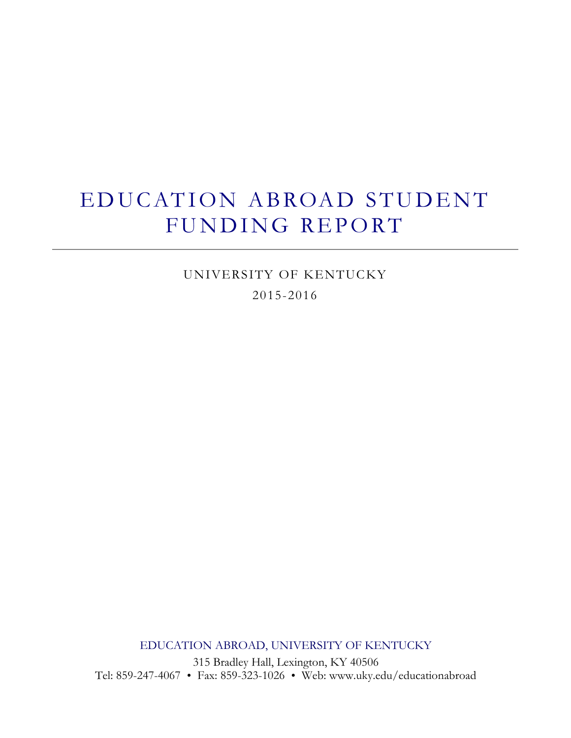# EDUCATION ABROAD STUDENT FUNDING REPORT

UNIVERSITY OF KENTUCKY 2015-2016

EDUCATION ABROAD, UNIVERSITY OF KENTUCKY

315 Bradley Hall, Lexington, KY 40506 Tel: 859-247-4067 Fax: 859-323-1026 Web: www.uky.edu/educationabroad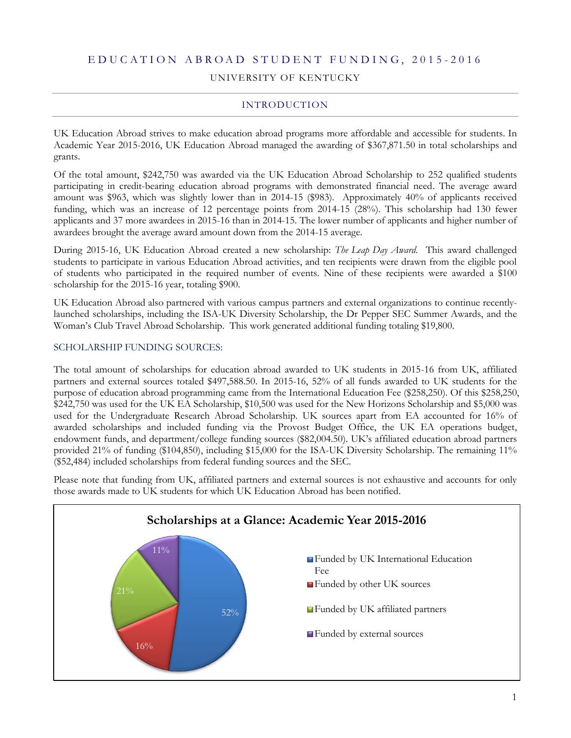#### E D U C A T I O N A B R O A D S T U D E N T F U N D I N G , 2 0 1 5 - 201 6

#### UNIVERSITY OF KENTUCKY

#### INTRODUCTION

UK Education Abroad strives to make education abroad programs more affordable and accessible for students. In Academic Year 2015-2016, UK Education Abroad managed the awarding of \$367,871.50 in total scholarships and grants.

Of the total amount, \$242,750 was awarded via the UK Education Abroad Scholarship to 252 qualified students participating in credit-bearing education abroad programs with demonstrated financial need. The average award amount was \$963, which was slightly lower than in 2014-15 (\$983). Approximately 40% of applicants received funding, which was an increase of 12 percentage points from 2014-15 (28%). This scholarship had 130 fewer applicants and 37 more awardees in 2015-16 than in 2014-15. The lower number of applicants and higher number of awardees brought the average award amount down from the 2014-15 average.

During 2015-16, UK Education Abroad created a new scholarship: *The Leap Day Award*. This award challenged students to participate in various Education Abroad activities, and ten recipients were drawn from the eligible pool of students who participated in the required number of events. Nine of these recipients were awarded a \$100 scholarship for the 2015-16 year, totaling \$900.

UK Education Abroad also partnered with various campus partners and external organizations to continue recentlylaunched scholarships, including the ISA-UK Diversity Scholarship, the Dr Pepper SEC Summer Awards, and the Woman's Club Travel Abroad Scholarship. This work generated additional funding totaling \$19,800.

#### SCHOLARSHIP FUNDING SOURCES:

The total amount of scholarships for education abroad awarded to UK students in 2015-16 from UK, affiliated partners and external sources totaled \$497,588.50. In 2015-16, 52% of all funds awarded to UK students for the purpose of education abroad programming came from the International Education Fee (\$258,250). Of this \$258,250, \$242,750 was used for the UK EA Scholarship, \$10,500 was used for the New Horizons Scholarship and \$5,000 was used for the Undergraduate Research Abroad Scholarship. UK sources apart from EA accounted for 16% of awarded scholarships and included funding via the Provost Budget Office, the UK EA operations budget, endowment funds, and department/college funding sources (\$82,004.50). UK's affiliated education abroad partners provided 21% of funding (\$104,850), including \$15,000 for the ISA-UK Diversity Scholarship. The remaining 11% (\$52,484) included scholarships from federal funding sources and the SEC.

Please note that funding from UK, affiliated partners and external sources is not exhaustive and accounts for only those awards made to UK students for which UK Education Abroad has been notified.

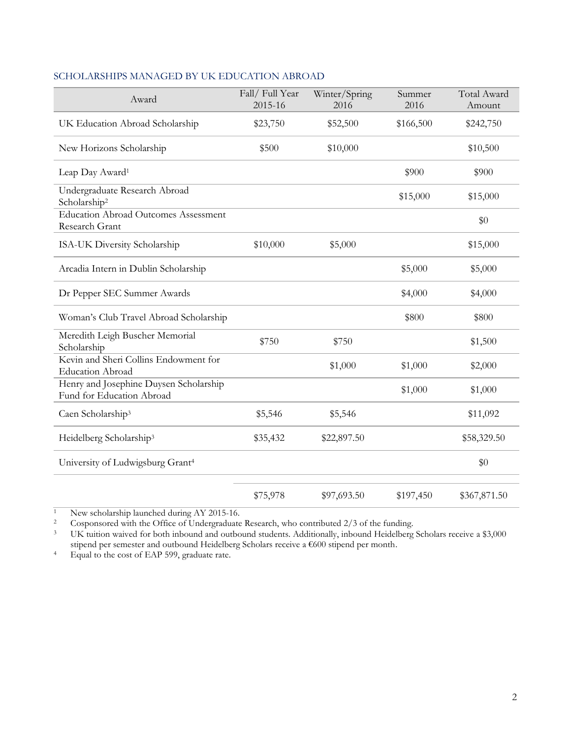| Award                                                               | Fall/Full Year<br>2015-16 | Winter/Spring<br>2016 | Summer<br>2016 | Total Award<br>Amount |
|---------------------------------------------------------------------|---------------------------|-----------------------|----------------|-----------------------|
| UK Education Abroad Scholarship                                     | \$23,750                  | \$52,500              | \$166,500      | \$242,750             |
| New Horizons Scholarship                                            | \$500                     | \$10,000              |                | \$10,500              |
| Leap Day Award <sup>1</sup>                                         |                           |                       | \$900          | \$900                 |
| Undergraduate Research Abroad<br>Scholarship <sup>2</sup>           |                           |                       | \$15,000       | \$15,000              |
| <b>Education Abroad Outcomes Assessment</b><br>Research Grant       |                           |                       |                | \$0                   |
| ISA-UK Diversity Scholarship                                        | \$10,000                  | \$5,000               |                | \$15,000              |
| Arcadia Intern in Dublin Scholarship                                |                           |                       | \$5,000        | \$5,000               |
| Dr Pepper SEC Summer Awards                                         |                           |                       | \$4,000        | \$4,000               |
| Woman's Club Travel Abroad Scholarship                              |                           |                       | \$800          | \$800                 |
| Meredith Leigh Buscher Memorial<br>Scholarship                      | \$750                     | \$750                 |                | \$1,500               |
| Kevin and Sheri Collins Endowment for<br><b>Education Abroad</b>    |                           | \$1,000               | \$1,000        | \$2,000               |
| Henry and Josephine Duysen Scholarship<br>Fund for Education Abroad |                           |                       | \$1,000        | \$1,000               |
| Caen Scholarship <sup>3</sup>                                       | \$5,546                   | \$5,546               |                | \$11,092              |
| Heidelberg Scholarship <sup>3</sup>                                 | \$35,432                  | \$22,897.50           |                | \$58,329.50           |
| University of Ludwigsburg Grant <sup>4</sup>                        |                           |                       |                | \$0                   |
|                                                                     | \$75,978                  | \$97,693.50           | \$197,450      | \$367,871.50          |

#### SCHOLARSHIPS MANAGED BY UK EDUCATION ABROAD

<sup>1</sup> New scholarship launched during AY 2015-16.<br><sup>2</sup> Cosponsored with the Office of Undergraduate

<sup>2</sup> Cosponsored with the Office of Undergraduate Research, who contributed 2/3 of the funding.<br><sup>3</sup> UK tuition waived for both inbound and outbound students. Additionally, inbound Heidelberg

UK tuition waived for both inbound and outbound students. Additionally, inbound Heidelberg Scholars receive a \$3,000 stipend per semester and outbound Heidelberg Scholars receive a €600 stipend per month.

<sup>4</sup> Equal to the cost of EAP 599, graduate rate.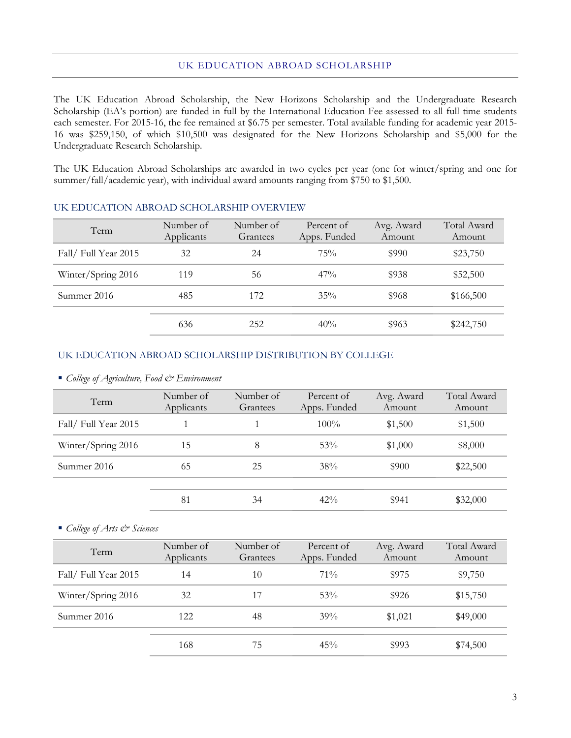#### UK EDUCATION ABROAD SCHOLARSHIP

The UK Education Abroad Scholarship, the New Horizons Scholarship and the Undergraduate Research Scholarship (EA's portion) are funded in full by the International Education Fee assessed to all full time students each semester. For 2015-16, the fee remained at \$6.75 per semester. Total available funding for academic year 2015- 16 was \$259,150, of which \$10,500 was designated for the New Horizons Scholarship and \$5,000 for the Undergraduate Research Scholarship.

The UK Education Abroad Scholarships are awarded in two cycles per year (one for winter/spring and one for summer/fall/academic year), with individual award amounts ranging from \$750 to \$1,500.

| Term                | Number of<br>Applicants | Number of<br>Grantees | Percent of<br>Apps. Funded | Avg. Award<br>Amount | Total Award<br>Amount |
|---------------------|-------------------------|-----------------------|----------------------------|----------------------|-----------------------|
| Fall/Full Year 2015 | 32                      | 24                    | 75%                        | \$990                | \$23,750              |
| Winter/Spring 2016  | 119                     | 56                    | 47%                        | \$938                | \$52,500              |
| Summer 2016         | 485                     | 172                   | $35\%$                     | \$968                | \$166,500             |
|                     | 636                     | 252                   | 40%                        | \$963                | \$242,750             |

#### UK EDUCATION ABROAD SCHOLARSHIP OVERVIEW

#### UK EDUCATION ABROAD SCHOLARSHIP DISTRIBUTION BY COLLEGE

*College of Agriculture, Food & Environment*

| Term                           | Number of<br>Applicants | Number of<br>Grantees | Percent of<br>Apps. Funded | Avg. Award<br>Amount | Total Award<br>Amount |
|--------------------------------|-------------------------|-----------------------|----------------------------|----------------------|-----------------------|
| Fall/Full Year 2015<br>$100\%$ |                         | \$1,500               | \$1,500                    |                      |                       |
| Winter/Spring 2016             | 15                      | 8                     | 53%                        | \$1,000              | \$8,000               |
| Summer 2016                    | 65                      | 25                    | 38%                        | \$900                | \$22,500              |
|                                | 81                      | 34                    | $42\%$                     | \$941                | \$32,000              |

*College of Arts & Sciences*

| Term                                      | Number of<br>Applicants | Number of<br>Grantees | Percent of<br>Apps. Funded | Avg. Award<br>Amount | Total Award<br>Amount |
|-------------------------------------------|-------------------------|-----------------------|----------------------------|----------------------|-----------------------|
| Fall/Full Year 2015<br>$71\%$<br>14<br>10 |                         | \$975                 | \$9,750                    |                      |                       |
| Winter/Spring 2016                        | 32                      | 17                    | 53%                        | \$926                | \$15,750              |
| Summer 2016                               | 122                     | 48                    | 39%                        | \$1,021              | \$49,000              |
|                                           | 168                     | 75                    | 45%                        | \$993                | \$74,500              |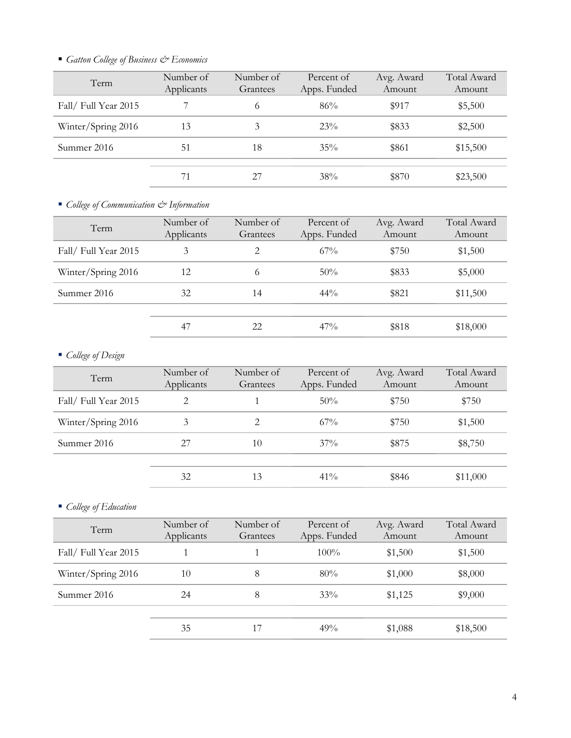| Term                | Number of<br>Applicants | Number of<br>Grantees | Percent of<br>Apps. Funded | Avg. Award<br>Amount | Total Award<br>Amount |
|---------------------|-------------------------|-----------------------|----------------------------|----------------------|-----------------------|
| Fall/Full Year 2015 |                         | 6                     | 86%                        | \$917                | \$5,500               |
| Winter/Spring 2016  | 13                      | 3                     | 23%                        | \$833                | \$2,500               |
| Summer 2016         | 51                      | 18                    | $35\%$                     | \$861                | \$15,500              |
|                     |                         | 27                    | 38%                        | \$870                | \$23,500              |

*Gatton College of Business & Economics*

*College of Communication & Information*

| Term                 | Number of<br>Applicants | Number of<br>Grantees | Percent of<br>Apps. Funded | Avg. Award<br>Amount | Total Award<br>Amount |
|----------------------|-------------------------|-----------------------|----------------------------|----------------------|-----------------------|
| Fall/ Full Year 2015 | 3                       | $\overline{2}$        | $67\%$                     | \$750                | \$1,500               |
| Winter/Spring 2016   | 12                      | 6                     | 50%                        | \$833                | \$5,000               |
| Summer 2016          | 32                      | 14                    | $44\%$                     | \$821                | \$11,500              |
|                      |                         |                       |                            |                      |                       |
|                      | 47                      | 22                    | $47\%$                     | \$818                | \$18,000              |

## *College of Design*

| Term                | Number of<br>Applicants | Number of<br>Grantees | Percent of<br>Apps. Funded | Avg. Award<br>Amount | Total Award<br>Amount |
|---------------------|-------------------------|-----------------------|----------------------------|----------------------|-----------------------|
| Fall/Full Year 2015 | 2                       |                       | 50%                        | \$750                | \$750                 |
| Winter/Spring 2016  | 3                       | 2                     | $67\%$                     | \$750                | \$1,500               |
| Summer 2016         | 27                      | 10                    | $37\%$                     | \$875                | \$8,750               |
|                     |                         |                       |                            |                      |                       |
|                     | 32                      | 13                    | $41\%$                     | \$846                | \$11,000              |

*College of Education*

| Term                           | Number of<br>Applicants | Number of<br>Grantees | Percent of<br>Apps. Funded | Avg. Award<br>Amount | Total Award<br>Amount |
|--------------------------------|-------------------------|-----------------------|----------------------------|----------------------|-----------------------|
| Fall/Full Year 2015<br>$100\%$ | \$1,500                 | \$1,500               |                            |                      |                       |
| Winter/Spring 2016             | 10                      | 8                     | 80%                        | \$1,000              | \$8,000               |
| Summer 2016                    | 24                      | 8                     | 33%                        | \$1,125              | \$9,000               |
|                                | 35                      | 17                    | 49%                        | \$1,088              | \$18,500              |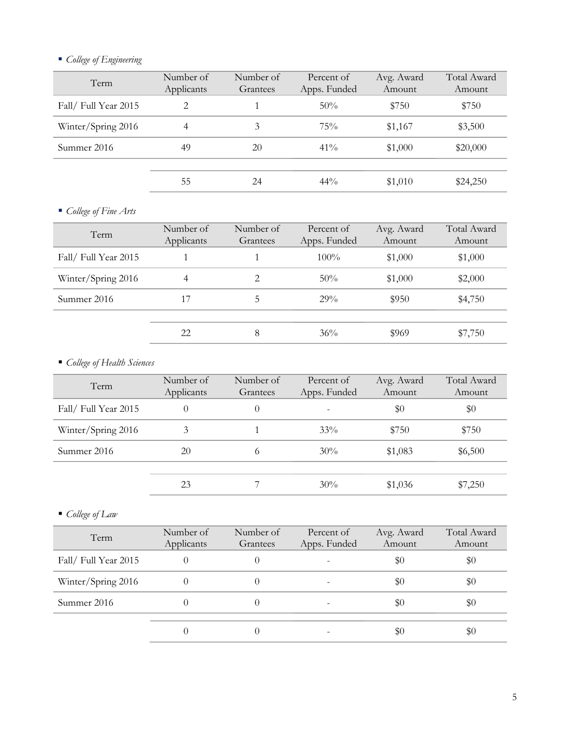## *College of Engineering*

| Term                | Number of<br>Applicants | Number of<br>Grantees | Percent of<br>Apps. Funded | Avg. Award<br>Amount | Total Award<br>Amount |
|---------------------|-------------------------|-----------------------|----------------------------|----------------------|-----------------------|
| Fall/Full Year 2015 | 2                       |                       | 50%                        | \$750                | \$750                 |
| Winter/Spring 2016  | 4                       | 3                     | 75%                        | \$1,167              | \$3,500               |
| Summer 2016         | 49                      | 20                    | $41\%$                     | \$1,000              | \$20,000              |
|                     | 55                      | 24                    | $44\%$                     | \$1,010              | \$24,250              |
|                     |                         |                       |                            |                      |                       |

## *College of Fine Arts*

| Term                 | Number of<br>Applicants | Number of<br>Grantees | Percent of<br>Apps. Funded | Avg. Award<br>Amount | Total Award<br>Amount |
|----------------------|-------------------------|-----------------------|----------------------------|----------------------|-----------------------|
| Fall/ Full Year 2015 |                         | $100\%$               | \$1,000                    | \$1,000              |                       |
| Winter/Spring 2016   | 4                       | 2                     | $50\%$                     | \$1,000              | \$2,000               |
| Summer 2016          | 17                      | 5                     | 29%                        | \$950                | \$4,750               |
|                      | 22                      | 8                     | 36%                        | \$969                | \$7,750               |

## *College of Health Sciences*

| Term                | Number of<br>Applicants | Number of<br>Grantees | Percent of<br>Apps. Funded | Avg. Award<br>Amount | Total Award<br>Amount |
|---------------------|-------------------------|-----------------------|----------------------------|----------------------|-----------------------|
| Fall/Full Year 2015 | $\theta$                | $\Omega$              |                            | $\$0$                | \$0                   |
| Winter/Spring 2016  | 3                       |                       | 33%                        | \$750                | \$750                 |
| Summer 2016         | 20                      | $^{(1)}$              | $30\%$                     | \$1,083              | \$6,500               |
|                     |                         |                       | 30%                        |                      |                       |
|                     | 23                      |                       |                            | \$1,036              | \$7,250               |

*College of Law*

| Term                | Number of<br>Applicants | Number of<br>Grantees | Percent of<br>Apps. Funded | Avg. Award<br>Amount | Total Award<br>Amount |
|---------------------|-------------------------|-----------------------|----------------------------|----------------------|-----------------------|
| Fall/Full Year 2015 |                         | $\$0$                 | \$0                        |                      |                       |
| Winter/Spring 2016  |                         |                       |                            | \$0                  | \$0                   |
| Summer 2016         |                         |                       |                            | \$0                  | $\$0$                 |
|                     |                         |                       |                            | \$0                  | \$0                   |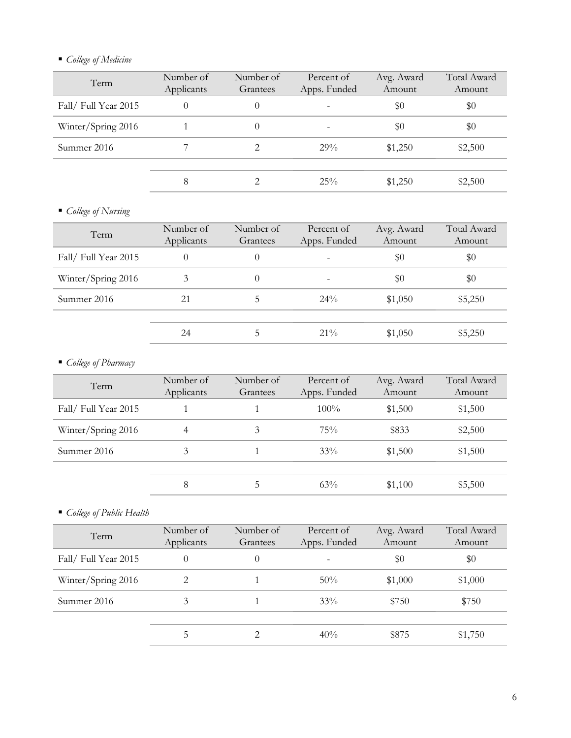## *College of Medicine*

| Term                | Number of<br>Applicants | Number of<br>Grantees | Percent of<br>Apps. Funded | Avg. Award<br>Amount | Total Award<br>Amount |
|---------------------|-------------------------|-----------------------|----------------------------|----------------------|-----------------------|
| Fall/Full Year 2015 |                         | $\theta$              | $\overline{\phantom{0}}$   | \$0                  | \$0                   |
| Winter/Spring 2016  |                         | $\theta$              |                            | \$0                  | \$0                   |
| Summer 2016         |                         |                       | 29%                        | \$1,250              | \$2,500               |
|                     |                         |                       |                            |                      |                       |
|                     |                         |                       | 25%                        | \$1,250              | \$2,500               |
|                     |                         |                       |                            |                      |                       |

## *College of Nursing*

| Term                | Number of<br>Applicants | Number of<br>Grantees | Percent of<br>Apps. Funded | Avg. Award<br>Amount | Total Award<br>Amount |
|---------------------|-------------------------|-----------------------|----------------------------|----------------------|-----------------------|
| Fall/Full Year 2015 | 0                       | 0                     | $\overline{\phantom{0}}$   | \$0                  | \$0                   |
| Winter/Spring 2016  | 3                       | 0                     |                            | \$0                  | \$0                   |
| Summer 2016         | 21                      | 5                     | $24\%$                     | \$1,050              | \$5,250               |
|                     |                         |                       |                            |                      |                       |
|                     | 24                      | 5                     | $21\%$                     | \$1,050              | \$5,250               |
|                     |                         |                       |                            |                      |                       |

## *College of Pharmacy*

| Term                | Number of<br>Applicants | Number of<br>Grantees | Percent of<br>Apps. Funded | Avg. Award<br>Amount | Total Award<br>Amount |
|---------------------|-------------------------|-----------------------|----------------------------|----------------------|-----------------------|
| Fall/Full Year 2015 |                         |                       | $100\%$                    | \$1,500              | \$1,500               |
| Winter/Spring 2016  | 4                       | 3                     | 75%                        | \$833                | \$2,500               |
| Summer 2016         | 3                       |                       | 33%                        | \$1,500              | \$1,500               |
|                     |                         |                       |                            |                      |                       |
|                     | 8                       | C                     | 63%                        | \$1,100              | \$5,500               |

*College of Public Health*

| Term                | Number of<br>Applicants | Number of<br>Grantees | Percent of<br>Apps. Funded | Avg. Award<br>Amount | Total Award<br>Amount |
|---------------------|-------------------------|-----------------------|----------------------------|----------------------|-----------------------|
| Fall/Full Year 2015 |                         | $\Omega$              |                            | \$0                  | $\$0$                 |
| Winter/Spring 2016  | 2                       |                       | $50\%$                     | \$1,000              | \$1,000               |
| Summer 2016         | 3                       |                       | 33%                        | \$750                | \$750                 |
|                     | 5                       |                       | 40%                        | \$875                | \$1,750               |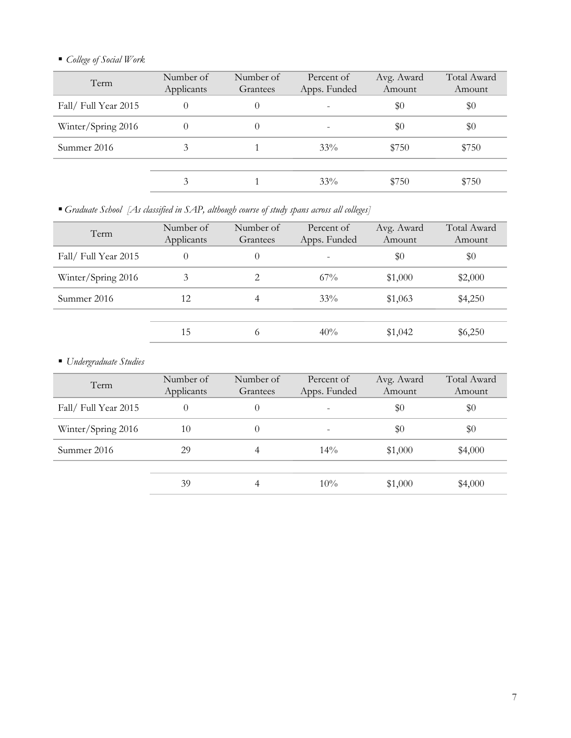## *College of Social Work*

| Number of<br>Applicants | Number of<br>Grantees | Percent of<br>Apps. Funded | Avg. Award<br>Amount | Total Award<br>Amount |
|-------------------------|-----------------------|----------------------------|----------------------|-----------------------|
|                         | $\theta$              |                            | \$0                  | \$0                   |
|                         |                       | $\overline{\phantom{a}}$   | \$0                  | \$0                   |
| 3                       |                       | $33\%$                     | \$750                | \$750                 |
|                         |                       |                            |                      |                       |
| 3                       |                       | $33\%$                     | \$750                | \$750                 |
|                         |                       |                            |                      |                       |

*Graduate School [As classified in SAP, although course of study spans across all colleges]*

| Term                 | Number of<br>Applicants | Number of<br>Grantees | Percent of<br>Apps. Funded | Avg. Award<br>Amount | Total Award<br>Amount |
|----------------------|-------------------------|-----------------------|----------------------------|----------------------|-----------------------|
| Fall/ Full Year 2015 | $\theta$                | $\Omega$              |                            | \$0                  | \$0                   |
| Winter/Spring 2016   | 3                       | 2                     | $67\%$                     | \$1,000              | \$2,000               |
| Summer 2016          | 12                      | 4                     | 33%                        | \$1,063              | \$4,250               |
|                      | 15                      | $\circ$               | 40%                        | \$1,042              | \$6,250               |

*Undergraduate Studies* 

| Term                | Number of<br>Applicants | Number of<br>Grantees | Percent of<br>Apps. Funded | Avg. Award<br>Amount | Total Award<br>Amount |
|---------------------|-------------------------|-----------------------|----------------------------|----------------------|-----------------------|
| Fall/Full Year 2015 | $\theta$                | $\theta$              | $\overline{\phantom{a}}$   | \$0                  | \$0                   |
| Winter/Spring 2016  | 10                      |                       | $\overline{\phantom{m}}$   | \$0                  | \$0                   |
| Summer 2016         | 29                      | 4                     | $14\%$                     | \$1,000              | \$4,000               |
|                     |                         |                       |                            |                      |                       |
|                     | 39                      | 4                     | $10\%$                     | \$1,000              | \$4,000               |
|                     |                         |                       |                            |                      |                       |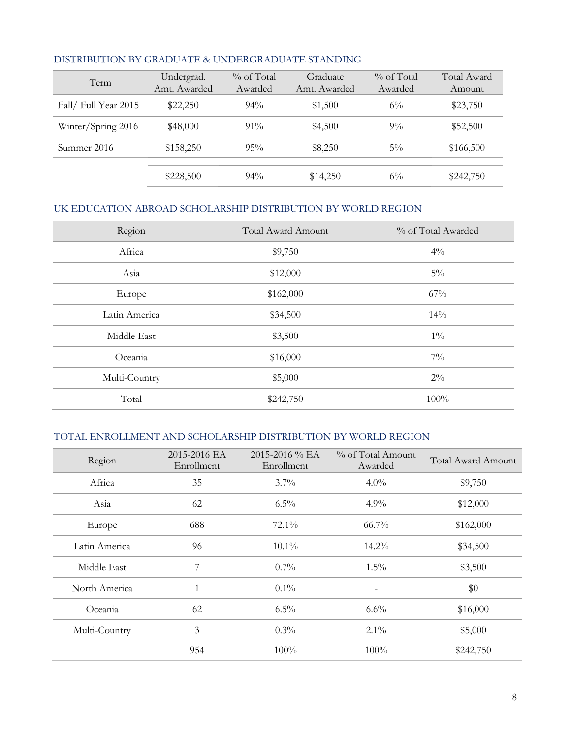| Term                 | Undergrad.<br>Amt. Awarded | $\%$ of Total<br>Awarded | Graduate<br>Amt. Awarded | $\%$ of Total<br>Awarded | Total Award<br>Amount |
|----------------------|----------------------------|--------------------------|--------------------------|--------------------------|-----------------------|
| Fall/ Full Year 2015 | \$22,250                   | $94\%$                   | \$1,500                  | $6\%$                    | \$23,750              |
| Winter/Spring 2016   | \$48,000                   | $91\%$                   | \$4,500                  | $9\%$                    | \$52,500              |
| Summer 2016          | \$158,250                  | 95%                      | \$8,250                  | $5\%$                    | \$166,500             |
|                      | \$228,500                  | $94\%$                   | \$14,250                 | $6\%$                    | \$242,750             |

#### DISTRIBUTION BY GRADUATE & UNDERGRADUATE STANDING

### UK EDUCATION ABROAD SCHOLARSHIP DISTRIBUTION BY WORLD REGION

| Region        | <b>Total Award Amount</b> | % of Total Awarded |
|---------------|---------------------------|--------------------|
| Africa        | \$9,750                   | $4\%$              |
| Asia          | \$12,000                  | $5\%$              |
| Europe        | \$162,000                 | 67%                |
| Latin America | \$34,500                  | 14%                |
| Middle East   | \$3,500                   | $1\%$              |
| Oceania       | \$16,000                  | $7\%$              |
| Multi-Country | \$5,000                   | $2\%$              |
| Total         | \$242,750                 | 100%               |

## TOTAL ENROLLMENT AND SCHOLARSHIP DISTRIBUTION BY WORLD REGION

| Region        | 2015-2016 EA<br>Enrollment | 2015-2016 % EA<br>Enrollment | % of Total Amount<br>Awarded | <b>Total Award Amount</b> |
|---------------|----------------------------|------------------------------|------------------------------|---------------------------|
| Africa        | 35                         | $3.7\%$                      | $4.0\%$                      | \$9,750                   |
| Asia          | 62                         | $6.5\%$                      | 4.9%                         | \$12,000                  |
| Europe        | 688                        | $72.1\%$                     | $66.7\%$                     | \$162,000                 |
| Latin America | 96                         | $10.1\%$                     | $14.2\%$                     | \$34,500                  |
| Middle East   | 7                          | 0.7%                         | $1.5\%$                      | \$3,500                   |
| North America | 1                          | $0.1\%$                      | $\overline{a}$               | \$0                       |
| Oceania       | 62                         | $6.5\%$                      | $6.6\%$                      | \$16,000                  |
| Multi-Country | 3                          | $0.3\%$                      | $2.1\%$                      | \$5,000                   |
|               | 954                        | $100\%$                      | $100\%$                      | \$242,750                 |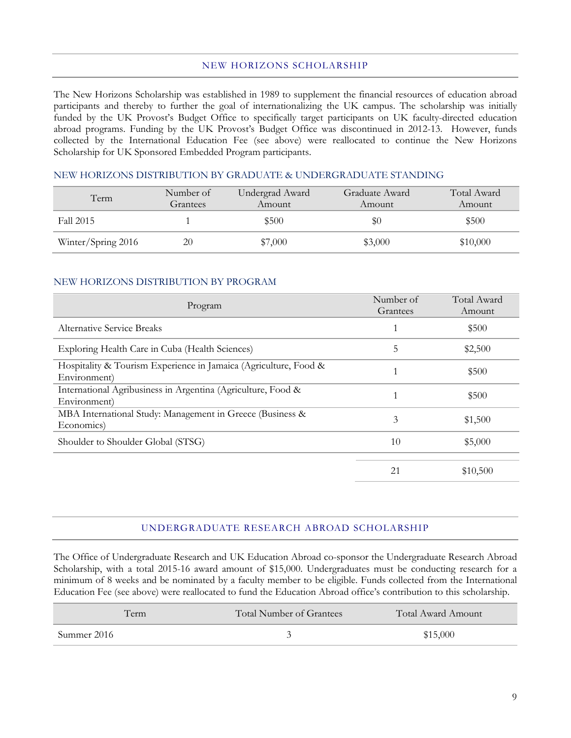#### NEW HORIZONS SCHOLARSHIP

The New Horizons Scholarship was established in 1989 to supplement the financial resources of education abroad participants and thereby to further the goal of internationalizing the UK campus. The scholarship was initially funded by the UK Provost's Budget Office to specifically target participants on UK faculty-directed education abroad programs. Funding by the UK Provost's Budget Office was discontinued in 2012-13. However, funds collected by the International Education Fee (see above) were reallocated to continue the New Horizons Scholarship for UK Sponsored Embedded Program participants.

#### NEW HORIZONS DISTRIBUTION BY GRADUATE & UNDERGRADUATE STANDING

| Term               | Number of<br>Grantees | Undergrad Award<br>Amount | Graduate Award<br>Amount | Total Award<br>Amount |
|--------------------|-----------------------|---------------------------|--------------------------|-----------------------|
| Fall 2015          |                       | \$500                     | \$0                      | \$500                 |
| Winter/Spring 2016 | 20                    | \$7,000                   | \$3,000                  | \$10,000              |

#### NEW HORIZONS DISTRIBUTION BY PROGRAM

| Program                                                                          | Number of<br>Grantees | Total Award<br>Amount |
|----------------------------------------------------------------------------------|-----------------------|-----------------------|
| <b>Alternative Service Breaks</b>                                                |                       | \$500                 |
| Exploring Health Care in Cuba (Health Sciences)                                  | 5                     | \$2,500               |
| Hospitality & Tourism Experience in Jamaica (Agriculture, Food &<br>Environment) |                       | \$500                 |
| International Agribusiness in Argentina (Agriculture, Food &<br>Environment)     |                       | \$500                 |
| MBA International Study: Management in Greece (Business &<br>Economics)          | 3                     | \$1,500               |
| Shoulder to Shoulder Global (STSG)                                               | 10                    | \$5,000               |
|                                                                                  | 21                    | \$10,500              |

#### UNDERGRADUATE RESEARCH ABROAD SCHOLARSHIP

The Office of Undergraduate Research and UK Education Abroad co-sponsor the Undergraduate Research Abroad Scholarship, with a total 2015-16 award amount of \$15,000. Undergraduates must be conducting research for a minimum of 8 weeks and be nominated by a faculty member to be eligible. Funds collected from the International Education Fee (see above) were reallocated to fund the Education Abroad office's contribution to this scholarship.

| rerm.       | Total Number of Grantees | Total Award Amount |
|-------------|--------------------------|--------------------|
| Summer 2016 |                          | \$15,000           |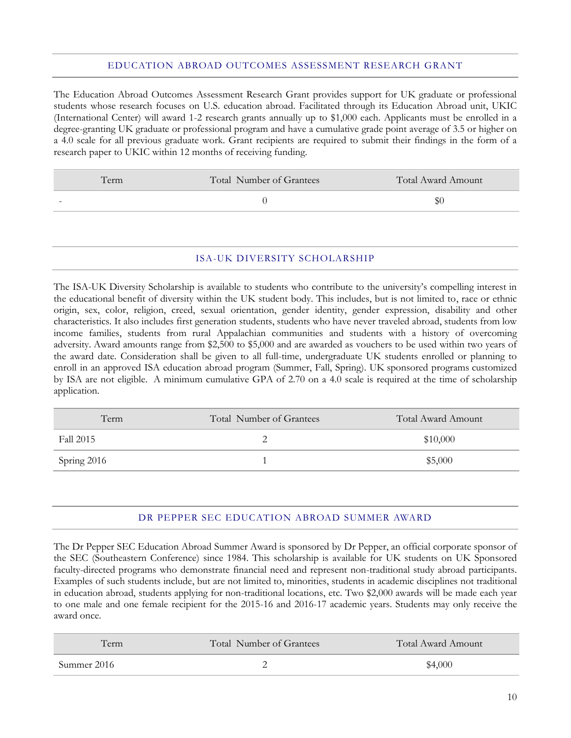#### EDUCATION ABROAD OUTCOMES ASSESSMENT RESEARCH GRANT

The Education Abroad Outcomes Assessment Research Grant provides support for UK graduate or professional students whose research focuses on U.S. education abroad. Facilitated through its Education Abroad unit, UKIC (International Center) will award 1-2 research grants annually up to \$1,000 each. Applicants must be enrolled in a degree-granting UK graduate or professional program and have a cumulative grade point average of 3.5 or higher on a 4.0 scale for all previous graduate work. Grant recipients are required to submit their findings in the form of a research paper to UKIC within 12 months of receiving funding.

| Term                     | Total Number of Grantees | Total Award Amount |
|--------------------------|--------------------------|--------------------|
| $\overline{\phantom{0}}$ |                          | ЭU                 |
|                          |                          |                    |

#### ISA-UK DIVERSITY SCHOLARSHIP

The ISA-UK Diversity Scholarship is available to students who contribute to the university's compelling interest in the educational benefit of diversity within the UK student body. This includes, but is not limited to, race or ethnic origin, sex, color, religion, creed, sexual orientation, gender identity, gender expression, disability and other characteristics. It also includes first generation students, students who have never traveled abroad, students from low income families, students from rural Appalachian communities and students with a history of overcoming adversity. Award amounts range from \$2,500 to \$5,000 and are awarded as vouchers to be used within two years of the award date. Consideration shall be given to all full-time, undergraduate UK students enrolled or planning to enroll in an approved ISA education abroad program (Summer, Fall, Spring). UK sponsored programs customized by ISA are not eligible. A minimum cumulative GPA of 2.70 on a 4.0 scale is required at the time of scholarship application.

| Term        | Total Number of Grantees | Total Award Amount |
|-------------|--------------------------|--------------------|
| Fall 2015   |                          | \$10,000           |
| Spring 2016 |                          | \$5,000            |

#### DR PEPPER SEC EDUCATION ABROAD SUMMER AWARD

The Dr Pepper SEC Education Abroad Summer Award is sponsored by Dr Pepper, an official corporate sponsor of the SEC (Southeastern Conference) since 1984. This scholarship is available for UK students on UK Sponsored faculty-directed programs who demonstrate financial need and represent non-traditional study abroad participants. Examples of such students include, but are not limited to, minorities, students in academic disciplines not traditional in education abroad, students applying for non-traditional locations, etc. Two \$2,000 awards will be made each year to one male and one female recipient for the 2015-16 and 2016-17 academic years. Students may only receive the award once.

| Term        | Total Number of Grantees | Total Award Amount |
|-------------|--------------------------|--------------------|
| Summer 2016 |                          | \$4,000            |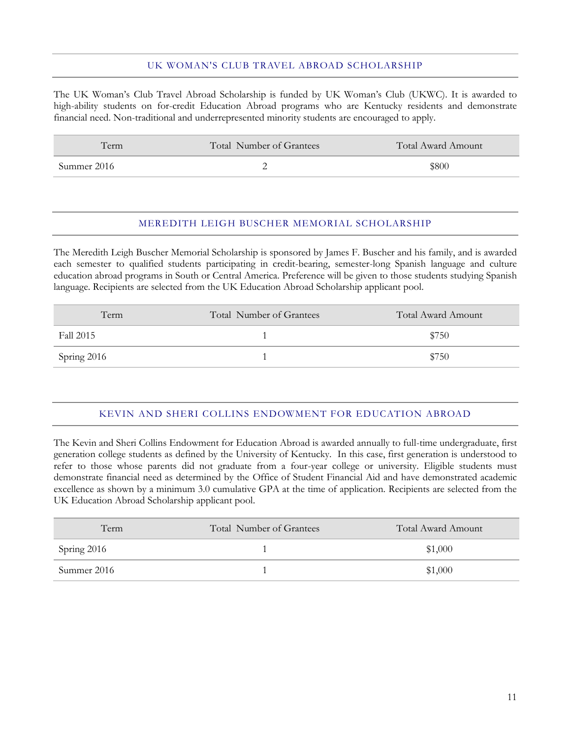#### UK WOMAN'S CLUB TRAVEL ABROAD SCHOLARSHIP

The UK Woman's Club Travel Abroad Scholarship is funded by UK Woman's Club (UKWC). It is awarded to high-ability students on for-credit Education Abroad programs who are Kentucky residents and demonstrate financial need. Non-traditional and underrepresented minority students are encouraged to apply.

| Term-       | Total Number of Grantees | Total Award Amount |
|-------------|--------------------------|--------------------|
| Summer 2016 |                          | \$800              |

#### MEREDITH LEIGH BUSCHER MEMORIAL SCHOLARSHIP

The Meredith Leigh Buscher Memorial Scholarship is sponsored by James F. Buscher and his family, and is awarded each semester to qualified students participating in credit-bearing, semester-long Spanish language and culture education abroad programs in South or Central America. Preference will be given to those students studying Spanish language. Recipients are selected from the UK Education Abroad Scholarship applicant pool.

| Term        | Total Number of Grantees | Total Award Amount |
|-------------|--------------------------|--------------------|
| Fall 2015   |                          | \$750              |
| Spring 2016 |                          | \$750              |

## KEVIN AND SHERI COLLINS ENDOWMENT FOR EDUCATION ABROAD

The Kevin and Sheri Collins Endowment for Education Abroad is awarded annually to full-time undergraduate, first generation college students as defined by the University of Kentucky. In this case, first generation is understood to refer to those whose parents did not graduate from a four-year college or university. Eligible students must demonstrate financial need as determined by the Office of Student Financial Aid and have demonstrated academic excellence as shown by a minimum 3.0 cumulative GPA at the time of application. Recipients are selected from the UK Education Abroad Scholarship applicant pool.

| Term        | Total Number of Grantees | Total Award Amount |
|-------------|--------------------------|--------------------|
| Spring 2016 |                          | \$1,000            |
| Summer 2016 |                          | \$1,000            |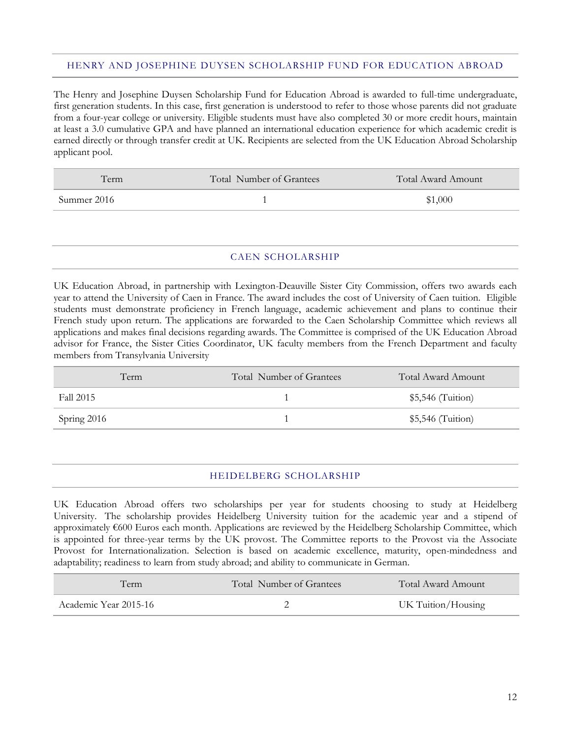#### HENRY AND JOSEPHINE DUYSEN SCHOLARSHIP FUND FOR EDUCATION ABROAD

The Henry and Josephine Duysen Scholarship Fund for Education Abroad is awarded to full-time undergraduate, first generation students. In this case, first generation is understood to refer to those whose parents did not graduate from a four-year college or university. Eligible students must have also completed 30 or more credit hours, maintain at least a 3.0 cumulative GPA and have planned an international education experience for which academic credit is earned directly or through transfer credit at UK. Recipients are selected from the UK Education Abroad Scholarship applicant pool.

| Ferm-       | Total Number of Grantees | Total Award Amount |
|-------------|--------------------------|--------------------|
| Summer 2016 |                          | \$1,000            |

#### CAEN SCHOLARSHIP

UK Education Abroad, in partnership with Lexington-Deauville Sister City Commission, offers two awards each year to attend the University of Caen in France. The award includes the cost of University of Caen tuition. Eligible students must demonstrate proficiency in French language, academic achievement and plans to continue their French study upon return. The applications are forwarded to the Caen Scholarship Committee which reviews all applications and makes final decisions regarding awards. The Committee is comprised of the UK Education Abroad advisor for France, the Sister Cities Coordinator, UK faculty members from the French Department and faculty members from Transylvania University

| Term        | Total Number of Grantees | Total Award Amount |
|-------------|--------------------------|--------------------|
| Fall 2015   |                          | $$5,546$ (Tuition) |
| Spring 2016 |                          | $$5,546$ (Tuition) |

#### HEIDELBERG SCHOLARSHIP

UK Education Abroad offers two scholarships per year for students choosing to study at Heidelberg University. The scholarship provides Heidelberg University tuition for the academic year and a stipend of approximately €600 Euros each month. Applications are reviewed by the Heidelberg Scholarship Committee, which is appointed for three-year terms by the UK provost. The Committee reports to the Provost via the Associate Provost for Internationalization. Selection is based on academic excellence, maturity, open-mindedness and adaptability; readiness to learn from study abroad; and ability to communicate in German.

| Term                  | Total Number of Grantees | Total Award Amount |
|-----------------------|--------------------------|--------------------|
| Academic Year 2015-16 |                          | UK Tuition/Housing |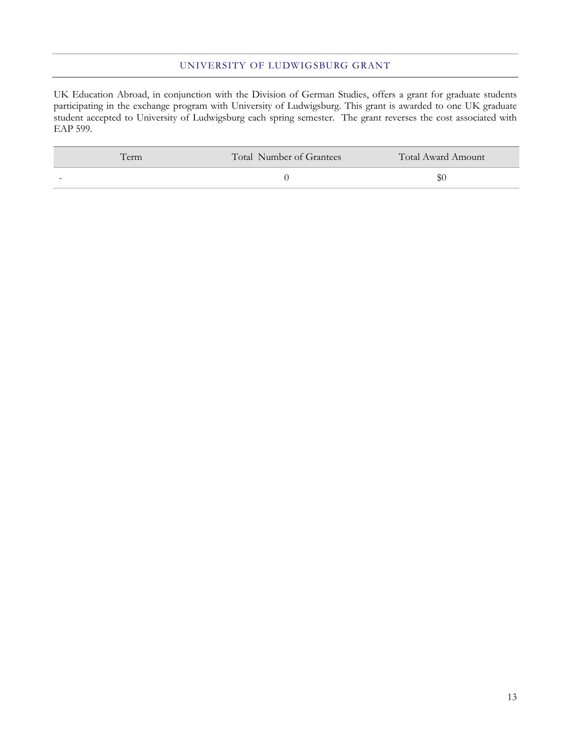#### UNIVERSITY OF LUDWIGSBURG GRANT

UK Education Abroad, in conjunction with the Division of German Studies, offers a grant for graduate students participating in the exchange program with University of Ludwigsburg. This grant is awarded to one UK graduate student accepted to University of Ludwigsburg each spring semester. The grant reverses the cost associated with EAP 599.

| erm                      | Total Number of Grantees | Total Award Amount |
|--------------------------|--------------------------|--------------------|
| $\overline{\phantom{a}}$ |                          | DU.                |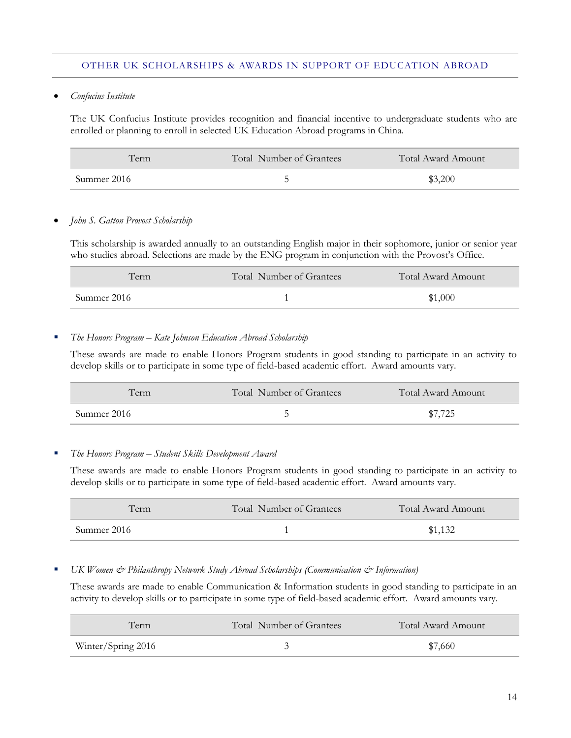#### OTHER UK SCHOLARSHIPS & AWARDS IN SUPPORT OF EDUCATION ABROAD

*Confucius Institute*

The UK Confucius Institute provides recognition and financial incentive to undergraduate students who are enrolled or planning to enroll in selected UK Education Abroad programs in China.

| Term        | Total Number of Grantees | Total Award Amount |
|-------------|--------------------------|--------------------|
| Summer 2016 |                          | \$3,200            |

#### *John S. Gatton Provost Scholarship*

This scholarship is awarded annually to an outstanding English major in their sophomore, junior or senior year who studies abroad. Selections are made by the ENG program in conjunction with the Provost's Office.

| <b>Lerm</b> | Total Number of Grantees | Total Award Amount |
|-------------|--------------------------|--------------------|
| Summer 2016 |                          | \$1,000            |

#### *The Honors Program – Kate Johnson Education Abroad Scholarship*

These awards are made to enable Honors Program students in good standing to participate in an activity to develop skills or to participate in some type of field-based academic effort. Award amounts vary.

| Term        | Total Number of Grantees | Total Award Amount |
|-------------|--------------------------|--------------------|
| Summer 2016 |                          | \$7.725            |

#### *The Honors Program – Student Skills Development Award*

These awards are made to enable Honors Program students in good standing to participate in an activity to develop skills or to participate in some type of field-based academic effort. Award amounts vary.

| Term        | Total Number of Grantees | Total Award Amount |
|-------------|--------------------------|--------------------|
| Summer 2016 |                          | \$1,132            |

#### *UK Women & Philanthropy Network Study Abroad Scholarships (Communication & Information)*

These awards are made to enable Communication & Information students in good standing to participate in an activity to develop skills or to participate in some type of field-based academic effort. Award amounts vary.

| Term               | Total Number of Grantees | Total Award Amount |
|--------------------|--------------------------|--------------------|
| Winter/Spring 2016 |                          | \$7,660            |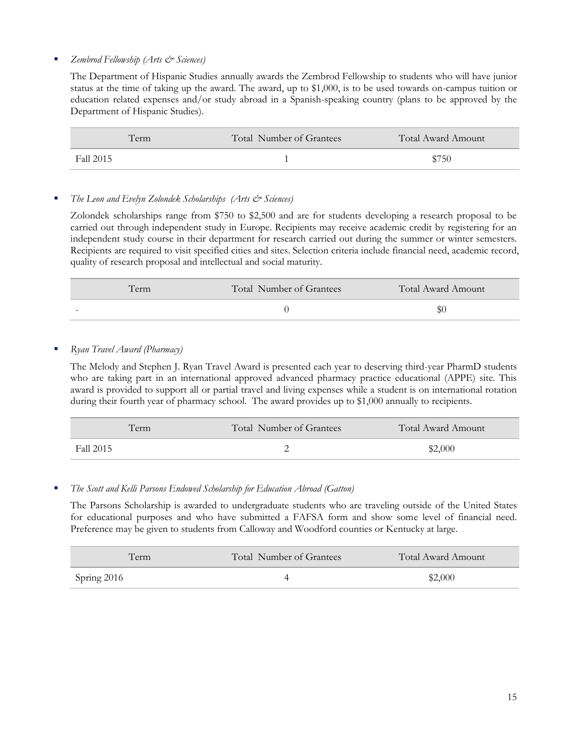#### *Zembrod Fellowship (Arts & Sciences)*

The Department of Hispanic Studies annually awards the Zembrod Fellowship to students who will have junior status at the time of taking up the award. The award, up to \$1,000, is to be used towards on-campus tuition or education related expenses and/or study abroad in a Spanish-speaking country (plans to be approved by the Department of Hispanic Studies).

|           | Term | Total Number of Grantees | Total Award Amount |
|-----------|------|--------------------------|--------------------|
| Fall 2015 |      |                          | \$750              |

#### *The Leon and Evelyn Zolondek Scholarships (Arts & Sciences)*

Zolondek scholarships range from \$750 to \$2,500 and are for students developing a research proposal to be carried out through independent study in Europe. Recipients may receive academic credit by registering for an independent study course in their department for research carried out during the summer or winter semesters. Recipients are required to visit specified cities and sites. Selection criteria include financial need, academic record, quality of research proposal and intellectual and social maturity.

| Term | Total Number of Grantees | Total Award Amount |
|------|--------------------------|--------------------|
| -    |                          |                    |

#### *Ryan Travel Award (Pharmacy)*

The Melody and Stephen J. Ryan Travel Award is presented each year to deserving third-year PharmD students who are taking part in an international approved advanced pharmacy practice educational (APPE) site. This award is provided to support all or partial travel and living expenses while a student is on international rotation during their fourth year of pharmacy school. The award provides up to \$1,000 annually to recipients.

| Term      | Total Number of Grantees | Total Award Amount |
|-----------|--------------------------|--------------------|
| Fall 2015 | -                        | \$2,000            |

#### *The Scott and Kelli Parsons Endowed Scholarship for Education Abroad (Gatton)*

The Parsons Scholarship is awarded to undergraduate students who are traveling outside of the United States for educational purposes and who have submitted a FAFSA form and show some level of financial need. Preference may be given to students from Calloway and Woodford counties or Kentucky at large.

| Term        | Total Number of Grantees | Total Award Amount |
|-------------|--------------------------|--------------------|
| Spring 2016 |                          | \$2,000            |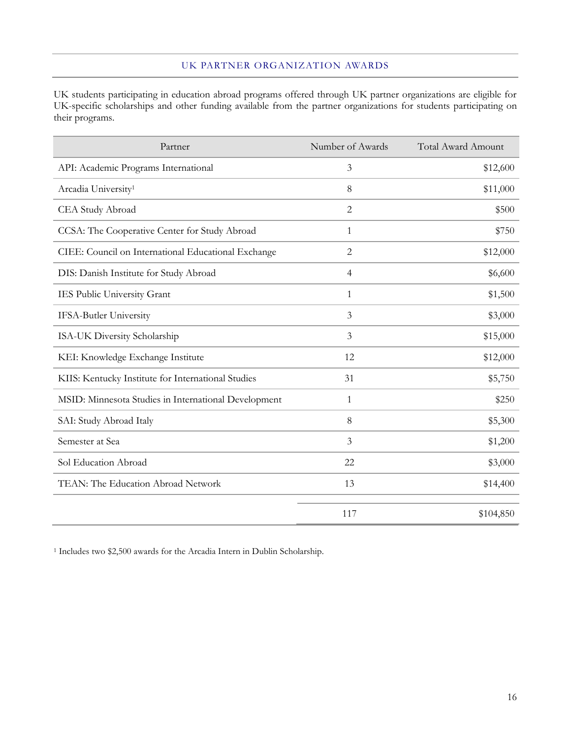#### UK PARTNER ORGANIZATION AWARDS

UK students participating in education abroad programs offered through UK partner organizations are eligible for UK-specific scholarships and other funding available from the partner organizations for students participating on their programs.

| Partner                                              | Number of Awards | <b>Total Award Amount</b> |
|------------------------------------------------------|------------------|---------------------------|
| API: Academic Programs International                 | 3                | \$12,600                  |
| Arcadia University <sup>1</sup>                      | 8                | \$11,000                  |
| CEA Study Abroad                                     | $\overline{2}$   | \$500                     |
| CCSA: The Cooperative Center for Study Abroad        | $\mathbf{1}$     | \$750                     |
| CIEE: Council on International Educational Exchange  | 2                | \$12,000                  |
| DIS: Danish Institute for Study Abroad               | $\overline{4}$   | \$6,600                   |
| IES Public University Grant                          | 1                | \$1,500                   |
| <b>IFSA-Butler University</b>                        | 3                | \$3,000                   |
| ISA-UK Diversity Scholarship                         | 3                | \$15,000                  |
| KEI: Knowledge Exchange Institute                    | 12               | \$12,000                  |
| KIIS: Kentucky Institute for International Studies   | 31               | \$5,750                   |
| MSID: Minnesota Studies in International Development | 1                | \$250                     |
| SAI: Study Abroad Italy                              | 8                | \$5,300                   |
| Semester at Sea                                      | 3                | \$1,200                   |
| Sol Education Abroad                                 | 22               | \$3,000                   |
| TEAN: The Education Abroad Network                   | 13               | \$14,400                  |
|                                                      | 117              | \$104,850                 |

<sup>1</sup> Includes two \$2,500 awards for the Arcadia Intern in Dublin Scholarship.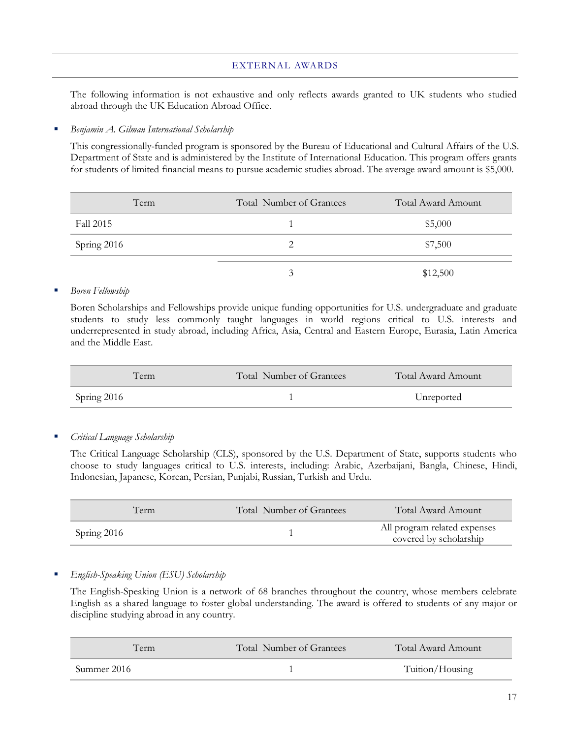#### EXTERNAL AWARDS

The following information is not exhaustive and only reflects awards granted to UK students who studied abroad through the UK Education Abroad Office.

#### *Benjamin A. Gilman International Scholarship*

This congressionally-funded program is sponsored by the Bureau of Educational and Cultural Affairs of the U.S. Department of State and is administered by the Institute of International Education. This program offers grants for students of limited financial means to pursue academic studies abroad. The average award amount is \$5,000.

| Term        | Total Number of Grantees | Total Award Amount |
|-------------|--------------------------|--------------------|
| Fall 2015   |                          | \$5,000            |
| Spring 2016 |                          | \$7,500            |
|             |                          | \$12,500           |

#### *Boren Fellowship*

Boren Scholarships and Fellowships provide unique funding opportunities for U.S. undergraduate and graduate students to study less commonly taught languages in world regions critical to U.S. interests and underrepresented in study abroad, including Africa, Asia, Central and Eastern Europe, Eurasia, Latin America and the Middle East.

| Term        | Total Number of Grantees | Total Award Amount |
|-------------|--------------------------|--------------------|
| Spring 2016 |                          | Unreported         |

*Critical Language Scholarship*

The Critical Language Scholarship (CLS), sponsored by the U.S. Department of State, supports students who choose to study languages critical to U.S. interests, including: Arabic, Azerbaijani, Bangla, Chinese, Hindi, Indonesian, Japanese, Korean, Persian, Punjabi, Russian, Turkish and Urdu.

|             | Term | Total Number of Grantees | Total Award Amount                                     |
|-------------|------|--------------------------|--------------------------------------------------------|
| Spring 2016 |      |                          | All program related expenses<br>covered by scholarship |

#### *English-Speaking Union (ESU) Scholarship*

The English-Speaking Union is a network of 68 branches throughout the country, whose members celebrate English as a shared language to foster global understanding. The award is offered to students of any major or discipline studying abroad in any country.

| Term        | Total Number of Grantees | Total Award Amount |
|-------------|--------------------------|--------------------|
| Summer 2016 |                          | Tuition/Housing    |